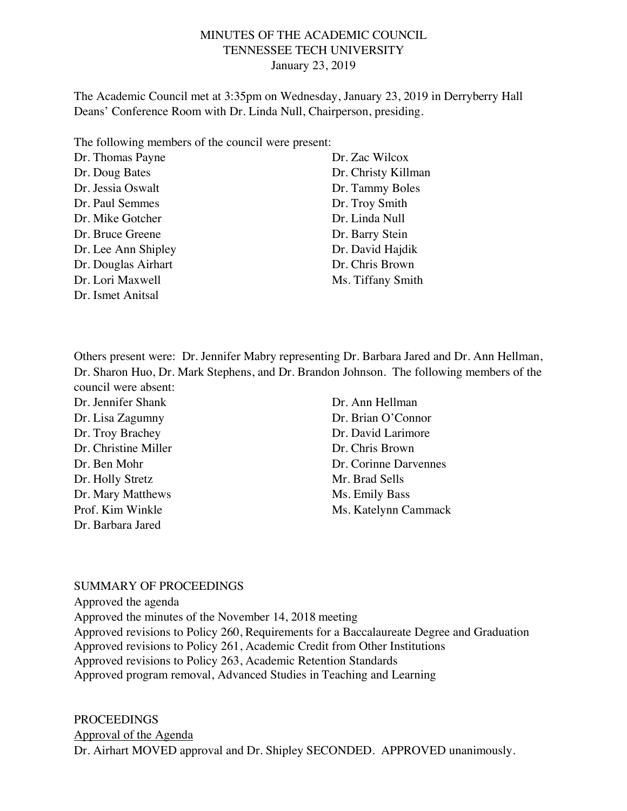## MINUTES OF THE ACADEMIC COUNCIL TENNESSEE TECH UNIVERSITY January 23, 2019

The Academic Council met at 3:35pm on Wednesday, January 23, 2019 in Derryberry Hall Deans' Conference Room with Dr. Linda Null, Chairperson, presiding.

The following members of the council were present:

| Dr. Thomas Payne    | Dr. Zac Wilcox      |
|---------------------|---------------------|
| Dr. Doug Bates      | Dr. Christy Killman |
| Dr. Jessia Oswalt   | Dr. Tammy Boles     |
| Dr. Paul Semmes     | Dr. Troy Smith      |
| Dr. Mike Gotcher    | Dr. Linda Null      |
| Dr. Bruce Greene    | Dr. Barry Stein     |
| Dr. Lee Ann Shipley | Dr. David Hajdik    |
| Dr. Douglas Airhart | Dr. Chris Brown     |
| Dr. Lori Maxwell    | Ms. Tiffany Smith   |
| Dr. Ismet Anitsal   |                     |

Others present were: Dr. Jennifer Mabry representing Dr. Barbara Jared and Dr. Ann Hellman, Dr. Sharon Huo, Dr. Mark Stephens, and Dr. Brandon Johnson. The following members of the council were absent:

Dr. Jennifer Shank Dr. Lisa Zagumny Dr. Troy Brachey Dr. Christine Miller Dr. Ben Mohr Dr. Holly Stretz Dr. Mary Matthews Prof. Kim Winkle Dr. Barbara Jared

Dr. Ann Hellman Dr. Brian O'Connor Dr. David Larimore Dr. Chris Brown Dr. Corinne Darvennes Mr. Brad Sells Ms. Emily Bass Ms. Katelynn Cammack

#### SUMMARY OF PROCEEDINGS

Approved the agenda Approved the minutes of the November 14, 2018 meeting Approved revisions to Policy 260, Requirements for a Baccalaureate Degree and Graduation Approved revisions to Policy 261, Academic Credit from Other Institutions Approved revisions to Policy 263, Academic Retention Standards Approved program removal, Advanced Studies in Teaching and Learning

PROCEEDINGS Approval of the Agenda Dr. Airhart MOVED approval and Dr. Shipley SECONDED. APPROVED unanimously.